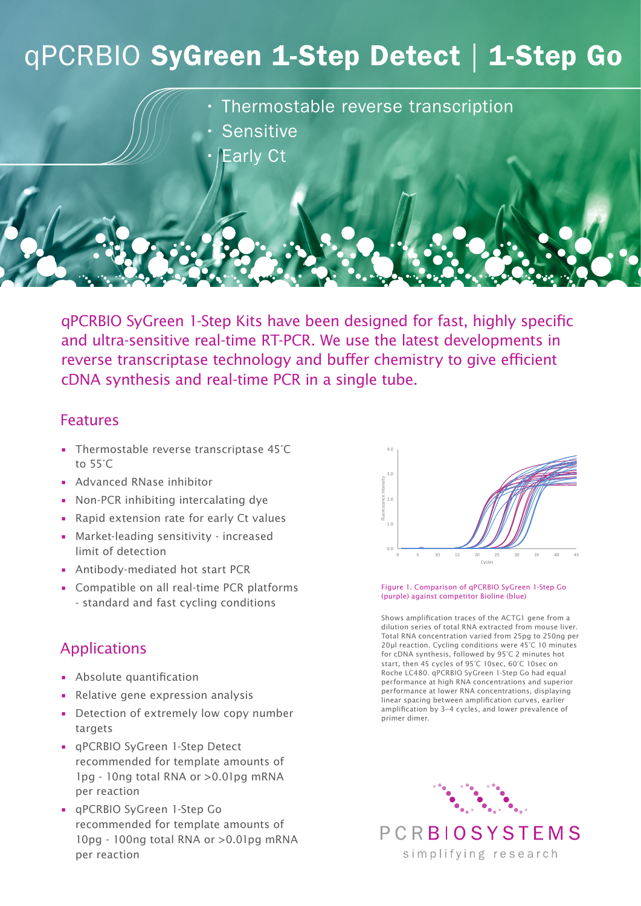# qPCRBIO SyGreen 1-Step Detect | 1-Step Go

• Thermostable reverse transcription

- **Sensitive** 
	- **Early Ct**

qPCRBIO SyGreen 1-Step Kits have been designed for fast, highly specific and ultra-sensitive real-time RT-PCR. We use the latest developments in reverse transcriptase technology and buffer chemistry to give efficient cDNA synthesis and real-time PCR in a single tube.

## Features

- Thermostable reverse transcriptase 45°C to 55°C
- Advanced RNase inhibitor
- Non-PCR inhibiting intercalating dye
- Rapid extension rate for early Ct values
- Market-leading sensitivity increased limit of detection
- Antibody-mediated hot start PCR
- Compatible on all real-time PCR platforms - standard and fast cycling conditions

## Applications

- Absolute quantification
- Relative gene expression analysis
- Detection of extremely low copy number targets
- qPCRBIO SyGreen 1-Step Detect recommended for template amounts of 1pg - 10ng total RNA or >0.01pg mRNA per reaction
- qPCRBIO SyGreen 1-Step Go recommended for template amounts of 10pg - 100ng total RNA or >0.01pg mRNA per reaction



#### Figure 1. Comparison of qPCRBIO SyGreen 1-Step Go (purple) against competitor Bioline (blue)

Shows amplification traces of the ACTG1 gene from a dilution series of total RNA extracted from mouse liver. Total RNA concentration varied from 25pg to 250ng per 20μl reaction. Cycling conditions were 45°C 10 minutes for cDNA synthesis, followed by 95°C 2 minutes hot start, then 45 cycles of 95°C 10sec, 60°C 10sec on Roche LC480. qPCRBIO SyGreen 1-Step Go had equal performance at high RNA concentrations and superior performance at lower RNA concentrations, displaying linear spacing between amplification curves, earlier amplification by 3–4 cycles, and lower prevalence of primer dimer.